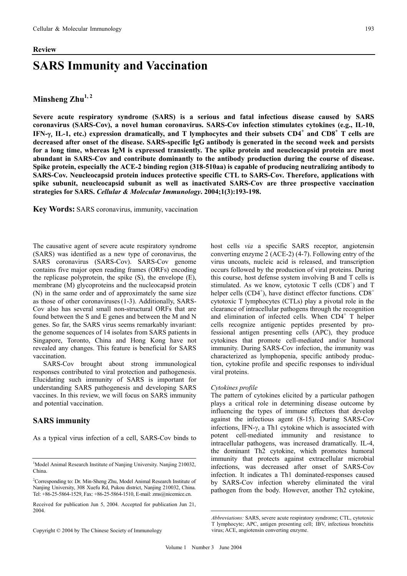#### **Review**

# **SARS Immunity and Vaccination**

## Minsheng Zhu<sup>1,2</sup>

**Severe acute respiratory syndrome (SARS) is a serious and fatal infectious disease caused by SARS coronavirus (SARS-Cov), a novel human coronavirus. SARS-Cov infection stimulates cytokines (e.g., IL-10, IFN-**γ, **IL-1, etc.) expression dramatically, and T lymphocytes and their subsets CD4<sup>+</sup> and CD8<sup>+</sup> T cells are decreased after onset of the disease. SARS-specific IgG antibody is generated in the second week and persists for a long time, whereas IgM is expressed transiently. The spike protein and neucleocapsid protein are most abundant in SARS-Cov and contribute dominantly to the antibody production during the course of disease. Spike protein, especially the ACE-2 binding region (318-510aa) is capable of producing neutralizing antibody to SARS-Cov. Neucleocapsid protein induces protective specific CTL to SARS-Cov. Therefore, applications with spike subunit, neucleocapsid subunit as well as inactivated SARS-Cov are three prospective vaccination strategies for SARS.** *Cellular & Molecular Immunology***. 2004;1(3):193-198.** 

**Key Words:** SARS coronavirus, immunity, vaccination

The causative agent of severe acute respiratory syndrome (SARS) was identified as a new type of coronavirus, the SARS coronavirus (SARS-Cov). SARS-Cov genome contains five major open reading frames (ORFs) encoding the replicase polyprotein, the spike (S), the envelope (E), membrane (M) glycoproteins and the nucleocapsid protein (N) in the same order and of approximately the same size as those of other coronaviruses(1-3). Additionally, SARS-Cov also has several small non-structural ORFs that are found between the S and E genes and between the M and N genes. So far, the SARS virus seems remarkably invariant: the genome sequences of 14 isolates from SARS patients in Singapore, Toronto, China and Hong Kong have not revealed any changes. This feature is beneficial for SARS vaccination.

SARS-Cov brought about strong immunological responses contributed to viral protection and pathogenesis. Elucidating such immunity of SARS is important for understanding SARS pathogenesis and developing SARS vaccines. In this review, we will focus on SARS immunity and potential vaccination.

## **SARS immunity**

As a typical virus infection of a cell, SARS-Cov binds to

Copyright © 2004 by The Chinese Society of Immunology

host cells *via* a specific SARS receptor, angiotensin converting enzyme 2 (ACE-2) (4-7). Following entry of the virus uncoats, nucleic acid is released, and transcription occurs followed by the production of viral proteins. During this course, host defense system involving B and T cells is stimulated. As we know, cytotoxic  $T$  cells (CD8<sup>+</sup>) and  $T$ helper cells  $(CD4^{+})$ , have distinct effector functions.  $CD8^{+}$ cytotoxic T lymphocytes (CTLs) play a pivotal role in the clearance of intracellular pathogens through the recognition and elimination of infected cells. When CD4<sup>+</sup> T helper cells recognize antigenic peptides presented by professional antigen presenting cells (APC), they produce cytokines that promote cell-mediated and/or humoral immunity. During SARS-Cov infection, the immunity was characterized as lymphopenia, specific antibody production, cytokine profile and specific responses to individual viral proteins.

#### *Cytokines profile*

The pattern of cytokines elicited by a particular pathogen plays a critical role in determining disease outcome by influencing the types of immune effectors that develop against the infectious agent (8-15). During SARS-Cov infections, IFN- $\gamma$ , a Th1 cytokine which is associated with potent cell-mediated immunity and resistance to intracellular pathogens, was increased dramatically. IL-4, the dominant Th2 cytokine, which promotes humoral immunity that protects against extracellular microbial infections, was decreased after onset of SARS-Cov infection. It indicates a Th1 dominated-responses caused by SARS-Cov infection whereby eliminated the viral pathogen from the body. However, another Th2 cytokine,

<sup>&</sup>lt;sup>1</sup>Model Animal Research Institute of Nanjing University. Nanjing 210032, China.

<sup>&</sup>lt;sup>2</sup>Corresponding to: Dr. Min-Sheng Zhu, Model Animal Research Institute of Nanjing University, 308 Xuefu Rd, Pukou district, Nanjing 210032, China. Tel: +86-25-5864-1529, Fax: +86-25-5864-1510, E-mail: zms@nicemice.cn.

Received for publication Jun 5, 2004. Accepted for publication Jun 21, 2004.

*Abbreviations:* SARS, severe acute respiratory syndrome; CTL, cytotoxic T lymphocyte; APC, antigen presenting cell; IBV, infectious bronchitis virus; ACE, angiotensin converting enzyme.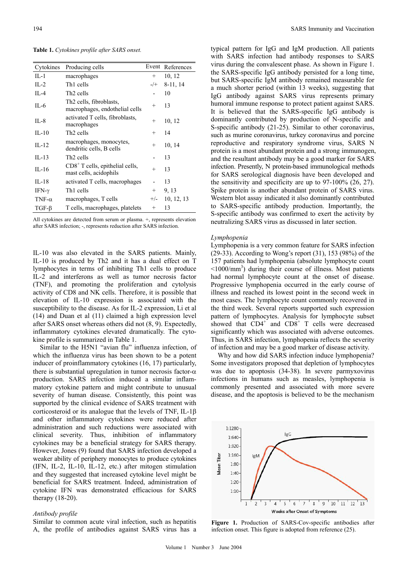**Table 1.** *Cytokines profile after SARS onset.*

| Cytokines     | Producing cells                                                       |                | Event References |
|---------------|-----------------------------------------------------------------------|----------------|------------------|
| $II - 1$      | macrophages                                                           | $^{+}$         | 10, 12           |
| $IL-2$        | Th <sub>1</sub> cells                                                 | $-$ /+         | 8-11, 14         |
| $II - 4$      | Th <sub>2</sub> cells                                                 |                | 10               |
| IL-6          | Th <sub>2</sub> cells, fibroblasts,<br>macrophages, endothelial cells | $^{+}$         | 13               |
| IL-8          | activated T cells, fibroblasts,<br>macrophages                        | $\overline{+}$ | 10, 12           |
| $IL-10$       | Th <sub>2</sub> cells                                                 | $^{+}$         | 14               |
| IL-12         | macrophages, monocytes,<br>dendritic cells, B cells                   | $^{+}$         | 10, 14           |
| $IL-13$       | Th <sub>2</sub> cells                                                 |                | 13               |
| $IL-16$       | $CD8+$ T cells, epithelial cells,<br>mast cells, acidophils           | $^{+}$         | 13               |
| $IL-18$       | activated T cells, macrophages                                        |                | 13               |
| IFN- $\gamma$ | Th <sub>1</sub> cells                                                 | $^{+}$         | 9, 13            |
| TNF- $\alpha$ | macrophages, T cells                                                  | $+/-$          | 10, 12, 13       |
| $TGF-\beta$   | T cells, macrophages, platelets                                       | $\overline{+}$ | 13               |

All cytokines are detected from serum or plasma. +, represents elevation after SARS infection; -, represents reduction after SARS infection.

IL-10 was also elevated in the SARS patients. Mainly, IL-10 is produced by Th2 and it has a dual effect on T lymphocytes in terms of inhibiting Th1 cells to produce IL-2 and interferons as well as tumor necrosis factor (TNF), and promoting the proliferation and cytolysis activity of CD8 and NK cells. Therefore, it is possible that elevation of IL-10 expression is associated with the susceptibility to the disease. As for IL-2 expression, Li et al (14) and Duan et al (11) claimed a high expression level after SARS onset whereas others did not (8, 9). Expectedly, inflammatory cytokines elevated dramatically. The cytokine profile is summarized in Table 1.

Similar to the H5N1 "avian flu" influenza infection, of which the influenza virus has been shown to be a potent inducer of proinflammatory cytokines (16, 17) particularly, there is substantial upregulation in tumor necrosis factor- $\alpha$ production. SARS infection induced a similar inflammatory cytokine pattern and might contribute to unusual severity of human disease. Consistently, this point was supported by the clinical evidence of SARS treatment with corticosteroid or its analogue that the levels of TNF, IL-1β and other inflammatory cytokines were reduced after administration and such reductions were associated with clinical severity. Thus, inhibition of inflammatory cytokines may be a beneficial strategy for SARS therapy. However, Jones (9) found that SARS infection developed a weaker ability of periphery monocytes to produce cytokines (IFN, IL-2, IL-10, IL-12, etc.) after mitogen stimulation and they suggested that increased cytokine level might be beneficial for SARS treatment. Indeed, administration of cytokine IFN was demonstrated efficacious for SARS therapy (18-20).

#### *Antibody profile*

Similar to common acute viral infection, such as hepatitis A, the profile of antibodies against SARS virus has a typical pattern for IgG and IgM production. All patients with SARS infection had antibody responses to SARS virus during the convalescent phase. As shown in Figure 1. the SARS-specific IgG antibody persisted for a long time, but SARS-specific IgM antibody remained measurable for a much shorter period (within 13 weeks), suggesting that IgG antibody against SARS virus represents primary humoral immune response to protect patient against SARS. It is believed that the SARS-specific IgG antibody is dominantly contributed by production of N-specific and S-specific antibody (21-25). Similar to other coronavirus, such as murine coronavirus, turkey coronavirus and porcine reproductive and respiratory syndrome virus, SARS N protein is a most abundant protein and a strong immunogen, and the resultant antibody may be a good marker for SARS infection. Presently, N protein-based immunological methods for SARS serological diagnosis have been developed and the sensitivity and specificity are up to 97-100% (26, 27). Spike protein is another abundant protein of SARS virus. Western blot assay indicated it also dominantly contributed to SARS-specific antibody production. Importantly, the S-specific antibody was confirmed to exert the activity by neutralizing SARS virus as discussed in later section.

#### *Lymphopenia*

Lymphopenia is a very common feature for SARS infection (29-33). According to Wong's report (31), 153 (98%) of the 157 patients had lymphopenia (absolute lymphocyte count <1000/mm3 ) during their course of illness. Most patients had normal lymphocyte count at the onset of disease. Progressive lymphopenia occurred in the early course of illness and reached its lowest point in the second week in most cases. The lymphocyte count commonly recovered in the third week. Several reports supported such expression pattern of lymphocytes. Analysis for lymphocyte subset showed that  $CD4^+$  and  $CD8^+$  T cells were decreased significantly which was associated with adverse outcomes. Thus, in SARS infection, lymphopenia reflects the severity of infection and may be a good marker of disease activity.

 Why and how did SARS infection induce lymphopenia? Some investigators proposed that depletion of lymphocytes was due to apoptosis (34-38). In severe parmyxovirus infections in humans such as measles, lymphopenia is commonly presented and associated with more severe disease, and the apoptosis is believed to be the mechanism



**Figure 1.** Production of SARS-Cov-specific antibodies after infection onset. This figure is adopted from reference (25).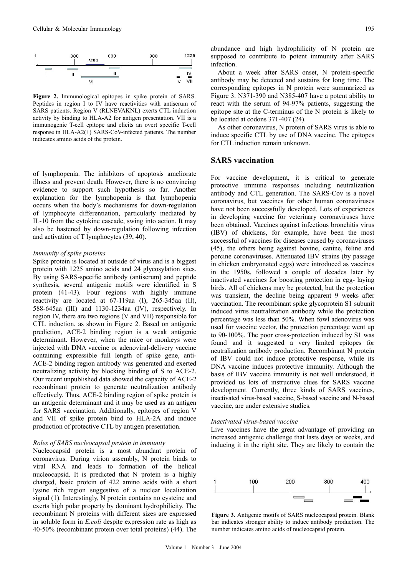

**Figure 2.** Immunological epitopes in spike protein of SARS. Peptides in region I to IV have reactivities with antiserum of SARS patients. Region V (RLNEVAKNL) exerts CTL induction activity by binding to HLA-A2 for antigen presentation. VII is a immunogenic T-cell epitope and elicits an overt specific T-cell response in HLA-A2(+) SARS-CoV-infected patients. The number indicates amino acids of the protein.

of lymphopenia. The inhibitors of apoptosis ameliorate illness and prevent death. However, there is no convincing evidence to support such hypothesis so far. Another explanation for the lymphopenia is that lymphopenia occurs when the body's mechanisms for down-regulation of lymphocyte differentiation, particularly mediated by IL-10 from the cytokine cascade, swing into action. It may also be hastened by down-regulation following infection and activation of T lymphocytes (39, 40).

#### *Immunity of spike proteins*

Spike protein is located at outside of virus and is a biggest protein with 1225 amino acids and 24 glycosylation sites. By using SARS-specific antibody (antiserum) and peptide synthesis, several antigenic motifs were identified in S protein (41-43). Four regions with highly immune reactivity are located at 67-119aa (I), 265-345aa (II), 588-645aa (III) and 1130-1234aa (IV), respectively. In region IV, there are two regions (V and VII) responsible for CTL induction, as shown in Figure 2. Based on antigenic prediction, ACE-2 binding region is a weak antigenic determinant. However, when the mice or monkeys were injected with DNA vaccine or adenoviral-delivery vaccine containing expressible full length of spike gene, anti-ACE-2 binding region antibody was generated and exerted neutralizing activity by blocking binding of S to ACE-2. Our recent unpublished data showed the capacity of ACE-2 recombinant protein to generate neutralization antibody effectively. Thus, ACE-2 binding region of spike protein is an antigenic determinant and it may be used as an antigen for SARS vaccination. Additionally, epitopes of region V and VII of spike protein bind to HLA-2A and induce production of protective CTL by antigen presentation.

#### *Roles of SARS nucleocapsid protein in immunity*

Nucleocapsid protein is a most abundant protein of coronavirus. During virion assembly, N protein binds to viral RNA and leads to formation of the helical nucleocapsid. It is predicted that N protein is a highly charged, basic protein of 422 amino acids with a short lysine rich region suggestive of a nuclear localization signal (1). Interestingly, N protein contains no cysteine and exerts high polar property by dominant hydrophilicity. The recombinant N proteins with different sizes are expressed in soluble form in *E.coli* despite expression rate as high as 40-50% (recombinant protein over total proteins) (44). The

abundance and high hydrophilicity of N protein are supposed to contribute to potent immunity after SARS infection.

About a week after SARS onset, N protein-specific antibody may be detected and sustains for long time. The corresponding epitopes in N protein were summarized as Figure 3. N371-390 and N385-407 have a potent ability to react with the serum of 94-97% patients, suggesting the epitope site at the C-terminus of the N protein is likely to be located at codons 371-407 (24).

As other coronavirus, N protein of SARS virus is able to induce specific CTL by use of DNA vaccine. The epitopes for CTL induction remain unknown.

### **SARS vaccination**

For vaccine development, it is critical to generate protective immune responses including neutralization antibody and CTL generation. The SARS-Cov is a novel coronavirus, but vaccines for other human coronaviruses have not been successfully developed. Lots of experiences in developing vaccine for veterinary coronaviruses have been obtained. Vaccines against infectious bronchitis virus (IBV) of chickens, for example, have been the most successful of vaccines for diseases caused by coronaviruses (45), the others being against bovine, canine, feline and porcine coronaviruses. Attenuated IBV strains (by passage in chicken embryonated eggs) were introduced as vaccines in the 1950s, followed a couple of decades later by inactivated vaccines for boosting protection in egg- laying birds. All of chickens may be protected, but the protection was transient, the decline being apparent 9 weeks after vaccination. The recombinant spike glycoprotein S1 subunit induced virus neutralization antibody while the protection percentage was less than 50%. When fowl adenovirus was used for vaccine vector, the protection percentage went up to 90-100%. The poor cross-protection induced by S1 was found and it suggested a very limited epitopes for neutralization antibody production. Recombinant N protein of IBV could not induce protective response, while its DNA vaccine induces protective immunity. Although the basis of IBV vaccine immunity is not well understood, it provided us lots of instructive clues for SARS vaccine development. Currently, three kinds of SARS vaccines, inactivated virus-based vaccine, S-based vaccine and N-based vaccine, are under extensive studies.

#### *Inactivated virus-based vaccine*

Live vaccines have the great advantage of providing an increased antigenic challenge that lasts days or weeks, and inducing it in the right site. They are likely to contain the



**Figure 3.** Antigenic motifs of SARS nucleocapsid protein. Blank bar indicates stronger ability to induce antibody production. The number indicates amino acids of nucleocapsid protein.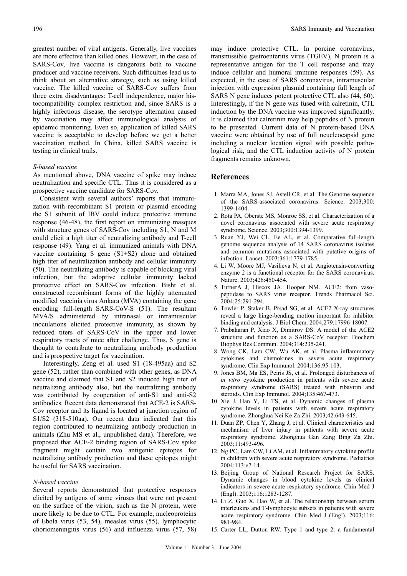greatest number of viral antigens. Generally, live vaccines are more effective than killed ones. However, in the case of SARS-Cov, live vaccine is dangerous both to vaccine producer and vaccine receivers. Such difficulties lead us to think about an alternative strategy, such as using killed vaccine. The killed vaccine of SARS-Cov suffers from three extra disadvantages: T-cell independence, major histocompatibility complex restriction and, since SARS is a highly infectious disease, the serotype alternation caused by vaccination may affect immunological analysis of epidemic monitoring. Even so, application of killed SARS vaccine is acceptable to develop before we get a better vaccination method. In China, killed SARS vaccine is testing in clinical trails.

#### *S-based vaccine*

As mentioned above, DNA vaccine of spike may induce neutralization and specific CTL. Thus it is considered as a prospective vaccine candidate for SARS-Cov.

Consistent with several authors' reports that immunization with recombinant S1 protein or plasmid encoding the S1 subunit of IBV could induce protective immune response (46-48), the first report on immunizing masques with structure genes of SARS-Cov including S1, N and M could elicit a high titer of neutralizing antibody and T-cell response (49). Yang et al. immunized animals with DNA vaccine containing S gene (S1+S2) alone and obtained high titer of neutralization antibody and cellular immunity (50). The neutralizing antibody is capable of blocking viral infection, but the adoptive cellular immunity lacked protective effect on SARS-Cov infection. Bisht et al. constructed recombinant forms of the highly attenuated modified vaccinia virus Ankara (MVA) containing the gene encoding full-length SARS-CoV-S (51). The resultant MVA/S administered by intranasal or intramuscular inoculations elicited protective immunity, as shown by reduced titers of SARS-CoV in the upper and lower respiratory tracts of mice after challenge. Thus, S gene is thought to contribute to neutralizing antibody production and is prospective target for vaccination.

 Interestingly, Zeng et al. used S1 (18-495aa) and S2 gene (52), rather than combined with other genes, as DNA vaccine and claimed that S1 and S2 induced high titer of neutralizing antibody also, but the neutralizing antibody was contributed by cooperation of anti-S1 and anti-S2 antibodies. Recent data demonstrated that ACE-2 is SARS-Cov receptor and its ligand is located at junction region of S1/S2 (318-510aa). Our recent data indicated that this region contributed to neutralizing antibody production in animals (Zhu MS et al., unpublished data). Therefore, we proposed that ACE-2 binding region of SARS-Cov spike fragment might contain two antigenic epitopes for neutralizing antibody production and these epitopes might be useful for SARS vaccination.

#### *N-based vaccine*

Several reports demonstrated that protective responses elicited by antigens of some viruses that were not present on the surface of the virion, such as the N protein, were more likely to be due to CTL. For example, nucleoproteins of Ebola virus (53, 54), measles virus (55), lymphocytic choriomeningitis virus (56) and influenza virus (57, 58)

may induce protective CTL. In porcine coronavirus, transmissible gastroenteritis virus (TGEV), N protein is a representative antigen for the T cell response and may induce cellular and humoral immune responses (59). As expected, in the case of SARS coronavirus, intramuscular injection with expression plasmid containing full length of SARS N gene induces potent protective CTL also (44, 60). Interestingly, if the N gene was fused with calretinin, CTL induction by the DNA vaccine was improved significantly. It is claimed that calretinin may help peptides of N protein to be presented. Current data of N protein-based DNA vaccine were obtained by use of full neucleocapsid gene including a nuclear location signal with possible pathological risk, and the CTL induction activity of N protein fragments remains unknown.

## **References**

- 1. Marra MA, Jones SJ, Astell CR, et al. The Genome sequence of the SARS-associated coronavirus. Science. 2003;300: 1399-1404.
- 2. Rota PA, Oberste MS, Monroe SS, et al. Characterization of a novel coronavirus associated with severe acute respiratory syndrome. Science. 2003;300:1394-1399.
- 3. Ruan YJ, Wei CL, Ee AL, et al. Comparative full-length genome sequence analysis of 14 SARS coronavirus isolates and common mutations associated with putative origins of infection. Lancet. 2003;361:1779-1785.
- 4. Li W, Moore MJ, Vasilieva N, et al. Angiotensin-converting enzyme 2 is a functional receptor for the SARS coronavirus. Nature. 2003;426:450-454.
- 5. TurnerA J, Hiscox JA, Hooper NM. ACE2: from vasopeptidase to SARS virus receptor. Trends Pharmacol Sci. 2004;25:291-294.
- 6. Towler P, Staker B, Prsad SG, et al. ACE2 X-ray structures reveal a large hinge-bending motion important for inhibitor binding and catalysis. J Biol Chem. 2004;279:17996-18007.
- 7. Prabakaran P, Xiao X, Dimitrov DS. A model of the ACE2 structure and function as a SARS-CoV receptor. Biochem Biophys Res Commun. 2004;314:235-241.
- 8. Wong CK, Lam CW, Wu AK, et al. Plasma inflammatory cytokines and chemokines in severe acute respiratory syndrome. Clin Exp Immunol. 2004;136:95-103.
- 9. Jones BM, Ma ES, Peiris JS, et al. Prolonged disturbances of *in vitro* cytokine production in patients with severe acute respiratory syndrome (SARS) treated with ribavirin and steroids. Clin Exp Immunol. 2004;135:467-473.
- 10. Xie J, Han Y, Li TS, et al. Dynamic changes of plasma cytokine levels in patients with severe acute respiratory syndrome. Zhonghua Nei Ke Za Zhi. 2003;42:643-645.
- 11. Duan ZP, Chen Y, Zhang J, et al. Clinical characteristics and mechanism of liver injury in patients with severe acute respiratory syndrome. Zhonghua Gan Zang Bing Za Zhi. 2003;11:493-496.
- 12. Ng PC, Lam CW, Li AM, et al. Inflammatory cytokine profile in children with severe acute respiratory syndrome. Pediatrics.  $2004 \cdot 113 \cdot e7 - 14$
- 13. Beijing Group of National Research Project for SARS. Dynamic changes in blood cytokine levels as clinical indicators in severe acute respiratory syndrome. Chin Med J (Engl). 2003;116:1283-1287.
- 14. Li Z, Guo X, Hao W, et al. The relationship between serum interleukins and T-lymphocyte subsets in patients with severe acute respiratory syndrome. Chin Med J (Engl). 2003;116: 981-984.
- 15. Carter LL, Dutton RW. Type 1 and type 2: a fundamental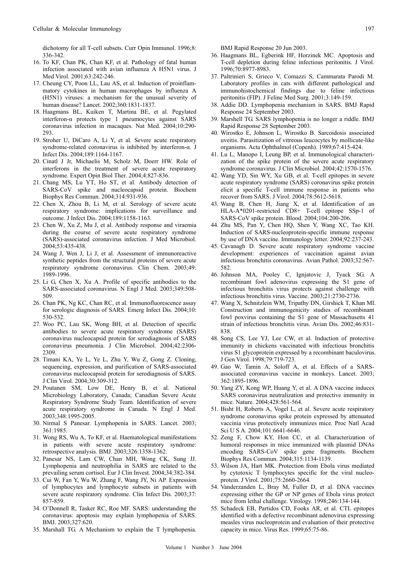dichotomy for all T-cell subsets. Curr Opin Immunol. 1996;8: 336-342.

- 16. To KF, Chan PK, Chan KF, et al. Pathology of fatal human infection associated with avian influenza A H5N1 virus. J Med Virol. 2001;63:242-246.
- 17. Cheung CY, Poon LL, Lau AS, et al. Induction of proinflammatory cytokines in human macrophages by influenza A (H5N1) viruses: a mechanism for the unusual severity of human disease? Lancet. 2002;360:1831-1837.
- 18. Haagmans BL, Kuiken T, Martina BE, et al. Pegylated interferon-α protects type 1 pneumocytes against SARS coronavirus infection in macaques. Nat Med. 2004;10:290- 293.
- 19. Stroher U, DiCaro A, Li Y, et al. Severe acute respiratory syndrome-related coronavirus is inhibited by interferon-α. J Infect Dis. 2004;189:1164-1167.
- 20. Cinatl J Jr, Michaelis M, Scholz M, Doerr HW. Role of interferons in the treatment of severe acute respiratory syndrome. Expert Opin Biol Ther. 2004;4:827-836.
- 21. Chang MS, Lu YT, Ho ST, et al. Antibody detection of SARS-CoV spike and nucleocapsid protein. Biochem Biophys Res Commun. 2004;314:931-936.
- 22. Chen X, Zhou B, Li M, et al. Serology of severe acute respiratory syndrome: implications for surveillance and outcome. J Infect Dis. 2004;189:1158-1163.
- 23. Chen W, Xu Z, Mu J, et al. Antibody response and viraemia during the course of severe acute respiratory syndrome (SARS)-associated coronavirus infection. J Med Microbiol. 2004;53:435-438.
- 24. Wang J, Wen J, Li J, et al. Assessment of immunoreactive synthetic peptides from the structural proteins of severe acute respiratory syndrome coronavirus. Clin Chem. 2003;49: 1989-1996.
- 25. Li G, Chen X, Xu A. Profile of specific antibodies to the SARS-associated coronavirus. N Engl J Med. 2003;349:508- 509.
- 26. Chan PK, Ng KC, Chan RC, et al. Immunofluorescence assay for serologic diagnosis of SARS. Emerg Infect Dis. 2004;10: 530-532.
- 27. Woo PC, Lau SK, Wong BH, et al. Detection of specific antibodies to severe acute respiratory syndrome (SARS) coronavirus nucleocapsid protein for serodiagnosis of SARS coronavirus pneumonia. J Clin Microbiol. 2004;42:2306- 2309.
- 28. Timani KA, Ye L, Ye L, Zhu Y, Wu Z, Gong Z. Cloning, sequencing, expression, and purification of SARS-associated coronavirus nucleocapsid protein for serodiagnosis of SARS. J Clin Virol. 2004;30:309-312.
- 29. Poutanen SM, Low DE, Henry B, et al. National Microbiology Laboratory, Canada; Canadian Severe Acute Respiratory Syndrome Study Team. Identification of severe acute respiratory syndrome in Canada. N Engl J Med. 2003;348:1995-2005.
- 30. Nirmal S Panesar. Lymphopenia in SARS. Lancet. 2003; 361:1985.
- 31. Wong RS, Wu A, To KF, et al. Haematological manifestations in patients with severe acute respiratory syndrome: retrospective analysis. BMJ. 2003;326:1358-1362.
- 32. Panesar NS, Lam CW, Chan MH, Wong CK, Sung JJ. Lymphopenia and neutrophilia in SARS are related to the prevailing serum cortisol. Eur J Clin Invest. 2004;34:382-384.
- 33. Cui W, Fan Y, Wu W, Zhang F, Wang JY, Ni AP. Expression of lymphocytes and lymphocyte subsets in patients with severe acute respiratory syndrome. Clin Infect Dis. 2003;37: 857-859.
- 34. O'Donnell R, Tasker RC, Roe MF. SARS: understanding the coronavirus: apoptosis may explain lymphopenia of SARS. BMJ. 2003;327:620.
- 35. Marshall TG. A Mechanism to explain the T lymphopenia.

BMJ Rapid Response 20 Jun 2003.

- 36. Haagmans BL, Egberink HF, Horzinek MC. Apoptosis and T-cell depletion during feline infectious peritonitis. J Virol. 1996;70:8977-8983.
- 37. Paltrinieri S, Grieco V, Comazzi S, Cammarata Parodi M. Laboratory profiles in cats with different pathological and immunohistochemical findings due to feline infectious peritonitis (FIP). J Feline Med Surg. 2001;3:149-159.
- 38. Addie DD. Lymphopenia mechanism in SARS. BMJ Rapid Response 24 September 2003.
- 39. Marshell TG. SARS lymphopenia is no longer a riddle. BMJ Rapid Response 28 September 2003.
- 40. Wirostko E, Johnson L, Wirostko B. Sarcoidosis associated uveitis. Parasitization of vitreous leucocytes by mollicute-like organisms. Acta Ophthalmol (Copenh). 1989;67:415-424.
- 41. Lu L, Manopo I, Leung BP, et al. Immunological characterization of the spike protein of the severe acute respiratory syndrome coronavirus. J Clin Microbiol. 2004;42:1570-1576.
- 42. Wang YD, Sin WY, Xu GB, et al. T-cell epitopes in severe acute respiratory syndrome (SARS) coronavirus spike protein elicit a specific T-cell immune response in patients who recover from SARS. J Virol. 2004;78:5612-5618.
- 43. Wang B, Chen H, Jiang X, et al. Identification of an HLA-A\*0201-restricted CD8+ T-cell epitope SSp-1 of SARS-CoV spike protein. Blood. 2004;104:200-206.
- 44. Zhu MS, Pan Y, Chen HQ, Shen Y, Wang XC, Tao KH. Induction of SARS-nucleoprotein-specific immune response by use of DNA vaccine. Immunology letter. 2004;92:237-243.
- 45. Cavanagh D. Severe acute respiratory syndrome vaccine development: experiences of vaccination against avian infectious bronchitis coronavirus. Avian Pathol. 2003;32:567- 582.
- 46. Johnson MA, Pooley C, Ignjatovic J, Tyack SG. A recombinant fowl adenovirus expressing the S1 gene of infectious bronchitis virus protects against challenge with infectious bronchitis virus. Vaccine. 2003;21:2730-2736.
- 47. Wang X, Schnitzlein WM, Tripathy DN, Girshick T, Khan MI. Construction and immunogenicity studies of recombinant fowl poxvirus containing the S1 gene of Massachusetts 41 strain of infectious bronchitis virus. Avian Dis. 2002;46:831- 838.
- 48. Song CS, Lee YJ, Lee CW, et al. Induction of protective immunity in chickens vaccinated with infectious bronchitis virus S1 glycoprotein expressed by a recombinant baculovirus. J Gen Virol. 1998;79:719-723.
- 49. Gao W, Tamin A, Soloff A, et al. Effects of a SARSassociated coronavirus vaccine in monkeys. Lancet. 2003; 362:1895-1896.
- 50. Yang ZY, Kong WP, Huang Y, et al. A DNA vaccine induces SARS coronavirus neutralization and protective immunity in mice. Nature. 2004;428:561-564.
- 51. Bisht H, Roberts A, Vogel L, et al. Severe acute respiratory syndrome coronavirus spike protein expressed by attenuated vaccinia virus protectively immunizes mice. Proc Natl Acad Sci U S A. 2004;101:6641-6646.
- 52. Zeng F, Chow KY, Hon CC, et al. Characterization of humoral responses in mice immunized with plasmid DNAs encoding SARS-CoV spike gene fragments. Biochem Biophys Res Commun. 2004;315:1134-1139.
- 53. Wilson JA, Hart MK. Protection from Ebola virus mediated by cytotoxic T lymphocytes specific for the viral nucleoprotein. J Virol. 2001;75:2660-2664.
- 54. Vanderzanden L, Bray M, Fuller D, et al. DNA vaccines expressing either the GP or NP genes of Ebola virus protect mice from lethal challenge. Virology. 1998;246:134-144.
- 55. Schadeck EB, Partidos CD, Fooks AR, et al. CTL epitopes identified with a defective recombinant adenovirus expressing measles virus nucleoprotein and evaluation of their protective capacity in mice. Virus Res. 1999;65:75-86.